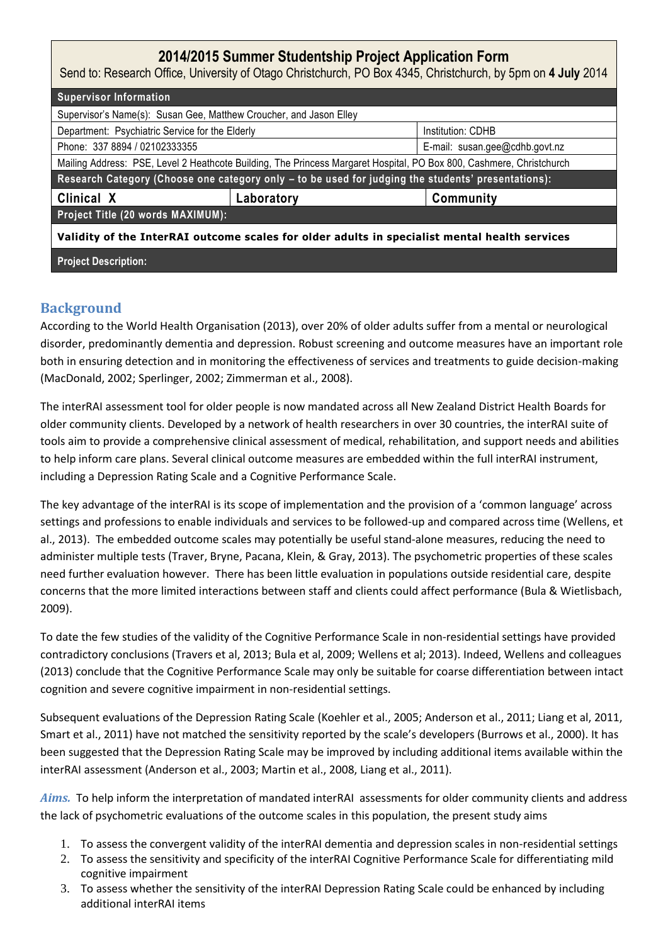## **2014/2015 Summer Studentship Project Application Form**

Send to: Research Office, University of Otago Christchurch, PO Box 4345, Christchurch, by 5pm on **4 July** 2014

| <b>Supervisor Information</b>                                                                                        |            |                                |
|----------------------------------------------------------------------------------------------------------------------|------------|--------------------------------|
| Supervisor's Name(s): Susan Gee, Matthew Croucher, and Jason Elley                                                   |            |                                |
| Department: Psychiatric Service for the Elderly                                                                      |            | Institution: CDHB              |
| Phone: 337 8894 / 02102333355                                                                                        |            | E-mail: susan.gee@cdhb.govt.nz |
| Mailing Address: PSE, Level 2 Heathcote Building, The Princess Margaret Hospital, PO Box 800, Cashmere, Christchurch |            |                                |
| Research Category (Choose one category only - to be used for judging the students' presentations):                   |            |                                |
| Clinical X                                                                                                           | Laboratory | Community                      |
| Project Title (20 words MAXIMUM):                                                                                    |            |                                |
| Validity of the InterRAI outcome scales for older adults in specialist mental health services                        |            |                                |

**Project Description:**

## **Background**

According to the World Health Organisation (2013), over 20% of older adults suffer from a mental or neurological disorder, predominantly dementia and depression. Robust screening and outcome measures have an important role both in ensuring detection and in monitoring the effectiveness of services and treatments to guide decision-making (MacDonald, 2002; Sperlinger, 2002; Zimmerman et al., 2008).

The interRAI assessment tool for older people is now mandated across all New Zealand District Health Boards for older community clients. Developed by a network of health researchers in over 30 countries, the interRAI suite of tools aim to provide a comprehensive clinical assessment of medical, rehabilitation, and support needs and abilities to help inform care plans. Several clinical outcome measures are embedded within the full interRAI instrument, including a Depression Rating Scale and a Cognitive Performance Scale.

The key advantage of the interRAI is its scope of implementation and the provision of a 'common language' across settings and professions to enable individuals and services to be followed-up and compared across time (Wellens, et al., 2013). The embedded outcome scales may potentially be useful stand-alone measures, reducing the need to administer multiple tests (Traver, Bryne, Pacana, Klein, & Gray, 2013). The psychometric properties of these scales need further evaluation however. There has been little evaluation in populations outside residential care, despite concerns that the more limited interactions between staff and clients could affect performance (Bula & Wietlisbach, 2009).

To date the few studies of the validity of the Cognitive Performance Scale in non-residential settings have provided contradictory conclusions (Travers et al, 2013; Bula et al, 2009; Wellens et al; 2013). Indeed, Wellens and colleagues (2013) conclude that the Cognitive Performance Scale may only be suitable for coarse differentiation between intact cognition and severe cognitive impairment in non-residential settings.

Subsequent evaluations of the Depression Rating Scale (Koehler et al., 2005; Anderson et al., 2011; Liang et al, 2011, Smart et al., 2011) have not matched the sensitivity reported by the scale's developers (Burrows et al., 2000). It has been suggested that the Depression Rating Scale may be improved by including additional items available within the interRAI assessment (Anderson et al., 2003; Martin et al., 2008, Liang et al., 2011).

*Aims.* To help inform the interpretation of mandated interRAI assessments for older community clients and address the lack of psychometric evaluations of the outcome scales in this population, the present study aims

- 1. To assess the convergent validity of the interRAI dementia and depression scales in non-residential settings
- 2. To assess the sensitivity and specificity of the interRAI Cognitive Performance Scale for differentiating mild cognitive impairment
- 3. To assess whether the sensitivity of the interRAI Depression Rating Scale could be enhanced by including additional interRAI items